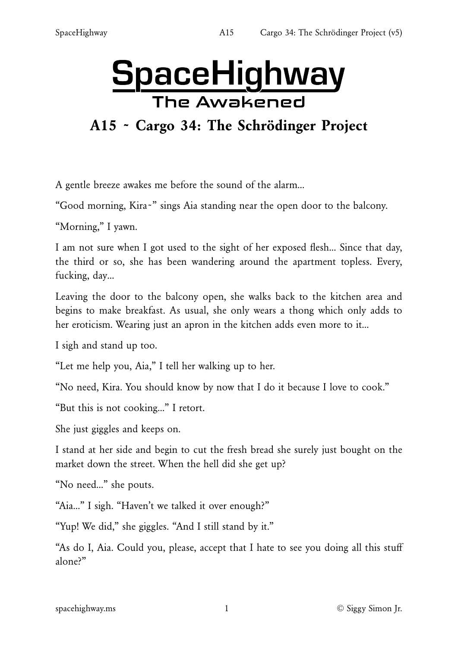# SpaceHighway **The Awakened**

## A15 ~ Cargo 34: The Schrödinger Project

A gentle breeze awakes me before the sound of the alarm…

"Good morning, Kira~" sings Aia standing near the open door to the balcony.

"Morning," I yawn.

I am not sure when I got used to the sight of her exposed flesh… Since that day, the third or so, she has been wandering around the apartment topless. Every, fucking, day…

Leaving the door to the balcony open, she walks back to the kitchen area and begins to make breakfast. As usual, she only wears a thong which only adds to her eroticism. Wearing just an apron in the kitchen adds even more to it…

I sigh and stand up too.

"Let me help you, Aia," I tell her walking up to her.

"No need, Kira. You should know by now that I do it because I love to cook."

"But this is not cooking…" I retort.

She just giggles and keeps on.

I stand at her side and begin to cut the fresh bread she surely just bought on the market down the street. When the hell did she get up?

"No need…" she pouts.

"Aia…" I sigh. "Haven't we talked it over enough?"

"Yup! We did," she giggles. "And I still stand by it."

"As do I, Aia. Could you, please, accept that I hate to see you doing all this stuff alone?"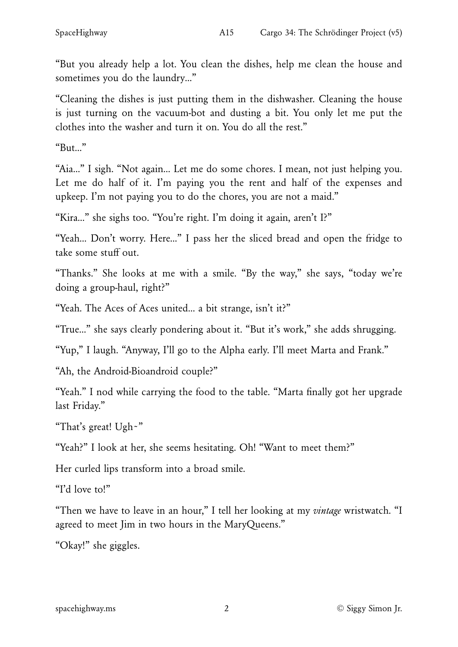"But you already help a lot. You clean the dishes, help me clean the house and sometimes you do the laundry…"

"Cleaning the dishes is just putting them in the dishwasher. Cleaning the house is just turning on the vacuum-bot and dusting a bit. You only let me put the clothes into the washer and turn it on. You do all the rest."

"But…"

"Aia…" I sigh. "Not again… Let me do some chores. I mean, not just helping you. Let me do half of it. I'm paying you the rent and half of the expenses and upkeep. I'm not paying you to do the chores, you are not a maid."

"Kira…" she sighs too. "You're right. I'm doing it again, aren't I?"

"Yeah… Don't worry. Here…" I pass her the sliced bread and open the fridge to take some stuff out.

"Thanks." She looks at me with a smile. "By the way," she says, "today we're doing a group-haul, right?"

"Yeah. The Aces of Aces united… a bit strange, isn't it?"

"True…" she says clearly pondering about it. "But it's work," she adds shrugging.

"Yup," I laugh. "Anyway, I'll go to the Alpha early. I'll meet Marta and Frank."

"Ah, the Android-Bioandroid couple?"

"Yeah." I nod while carrying the food to the table. "Marta finally got her upgrade last Friday."

"That's great! Ugh~"

"Yeah?" I look at her, she seems hesitating. Oh! "Want to meet them?"

Her curled lips transform into a broad smile.

"I'd love to!"

"Then we have to leave in an hour," I tell her looking at my *vintage* wristwatch. "I agreed to meet Jim in two hours in the MaryQueens."

"Okay!" she giggles.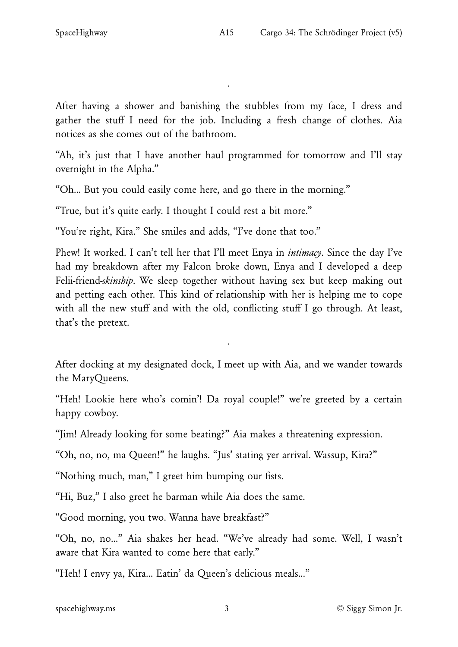After having a shower and banishing the stubbles from my face, I dress and gather the stuff I need for the job. Including a fresh change of clothes. Aia notices as she comes out of the bathroom.

·

"Ah, it's just that I have another haul programmed for tomorrow and I'll stay overnight in the Alpha."

"Oh… But you could easily come here, and go there in the morning."

"True, but it's quite early. I thought I could rest a bit more."

"You're right, Kira." She smiles and adds, "I've done that too."

Phew! It worked. I can't tell her that I'll meet Enya in *intimacy*. Since the day I've had my breakdown after my Falcon broke down, Enya and I developed a deep Felii-friend-*skinship*. We sleep together without having sex but keep making out and petting each other. This kind of relationship with her is helping me to cope with all the new stuff and with the old, conflicting stuff I go through. At least, that's the pretext.

After docking at my designated dock, I meet up with Aia, and we wander towards the MaryQueens.

·

"Heh! Lookie here who's comin'! Da royal couple!" we're greeted by a certain happy cowboy.

"Jim! Already looking for some beating?" Aia makes a threatening expression.

"Oh, no, no, ma Queen!" he laughs. "Jus' stating yer arrival. Wassup, Kira?"

"Nothing much, man," I greet him bumping our fists.

"Hi, Buz," I also greet he barman while Aia does the same.

"Good morning, you two. Wanna have breakfast?"

"Oh, no, no…" Aia shakes her head. "We've already had some. Well, I wasn't aware that Kira wanted to come here that early."

"Heh! I envy ya, Kira… Eatin' da Queen's delicious meals…"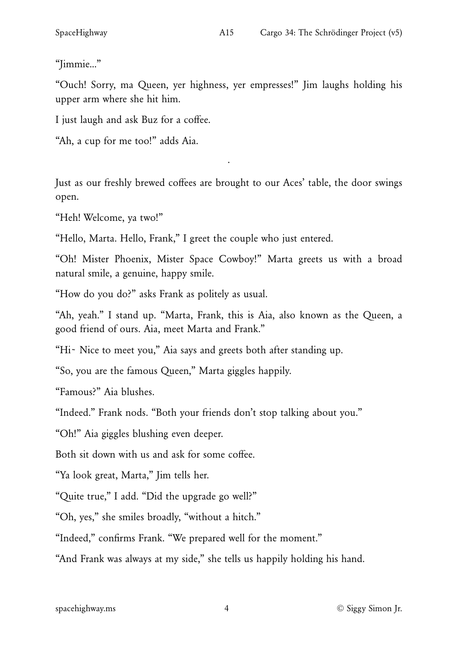"Jimmie…"

"Ouch! Sorry, ma Queen, yer highness, yer empresses!" Jim laughs holding his upper arm where she hit him.

I just laugh and ask Buz for a coffee.

"Ah, a cup for me too!" adds Aia.

Just as our freshly brewed coffees are brought to our Aces' table, the door swings open.

·

"Heh! Welcome, ya two!"

"Hello, Marta. Hello, Frank," I greet the couple who just entered.

"Oh! Mister Phoenix, Mister Space Cowboy!" Marta greets us with a broad natural smile, a genuine, happy smile.

"How do you do?" asks Frank as politely as usual.

"Ah, yeah." I stand up. "Marta, Frank, this is Aia, also known as the Queen, a good friend of ours. Aia, meet Marta and Frank."

"Hi~ Nice to meet you," Aia says and greets both after standing up.

"So, you are the famous Queen," Marta giggles happily.

"Famous?" Aia blushes.

"Indeed." Frank nods. "Both your friends don't stop talking about you."

"Oh!" Aia giggles blushing even deeper.

Both sit down with us and ask for some coffee.

"Ya look great, Marta," Jim tells her.

"Quite true," I add. "Did the upgrade go well?"

"Oh, yes," she smiles broadly, "without a hitch."

"Indeed," confirms Frank. "We prepared well for the moment."

"And Frank was always at my side," she tells us happily holding his hand.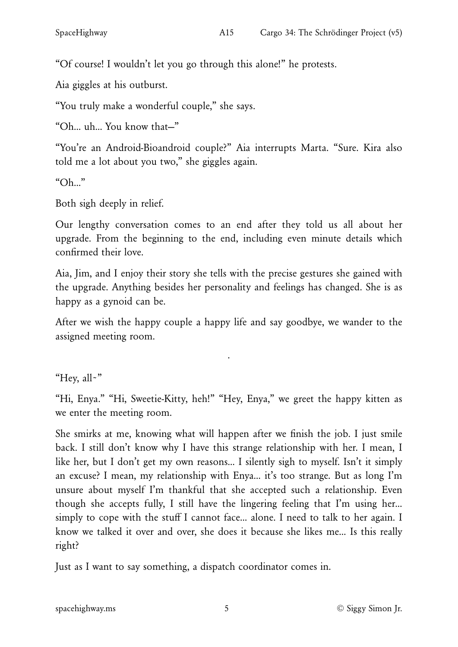"Of course! I wouldn't let you go through this alone!" he protests.

Aia giggles at his outburst.

"You truly make a wonderful couple," she says.

"Oh… uh… You know that—"

"You're an Android-Bioandroid couple?" Aia interrupts Marta. "Sure. Kira also told me a lot about you two," she giggles again.

 $"Oh$ …

Both sigh deeply in relief.

Our lengthy conversation comes to an end after they told us all about her upgrade. From the beginning to the end, including even minute details which confirmed their love.

Aia, Jim, and I enjoy their story she tells with the precise gestures she gained with the upgrade. Anything besides her personality and feelings has changed. She is as happy as a gynoid can be.

After we wish the happy couple a happy life and say goodbye, we wander to the assigned meeting room.

·

"Hey, all-"

"Hi, Enya." "Hi, Sweetie-Kitty, heh!" "Hey, Enya," we greet the happy kitten as we enter the meeting room.

She smirks at me, knowing what will happen after we finish the job. I just smile back. I still don't know why I have this strange relationship with her. I mean, I like her, but I don't get my own reasons… I silently sigh to myself. Isn't it simply an excuse? I mean, my relationship with Enya… it's too strange. But as long I'm unsure about myself I'm thankful that she accepted such a relationship. Even though she accepts fully, I still have the lingering feeling that I'm using her… simply to cope with the stuff I cannot face… alone. I need to talk to her again. I know we talked it over and over, she does it because she likes me… Is this really right?

Just as I want to say something, a dispatch coordinator comes in.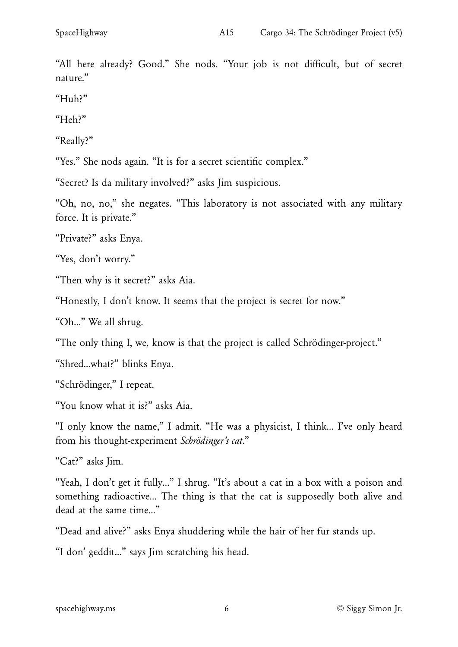"All here already? Good." She nods. "Your job is not difficult, but of secret nature."

"Huh?"

"Heh?"

"Really?"

"Yes." She nods again. "It is for a secret scientific complex."

"Secret? Is da military involved?" asks Jim suspicious.

"Oh, no, no," she negates. "This laboratory is not associated with any military force. It is private."

"Private?" asks Enya.

"Yes, don't worry."

"Then why is it secret?" asks Aia.

"Honestly, I don't know. It seems that the project is secret for now."

"Oh…" We all shrug.

"The only thing I, we, know is that the project is called Schrödinger-project."

"Shred…what?" blinks Enya.

"Schrödinger," I repeat.

"You know what it is?" asks Aia.

"I only know the name," I admit. "He was a physicist, I think… I've only heard from his thought-experiment *Schrödinger's cat*."

"Cat?" asks Jim.

"Yeah, I don't get it fully…" I shrug. "It's about a cat in a box with a poison and something radioactive… The thing is that the cat is supposedly both alive and dead at the same time…"

"Dead and alive?" asks Enya shuddering while the hair of her fur stands up.

"I don' geddit…" says Jim scratching his head.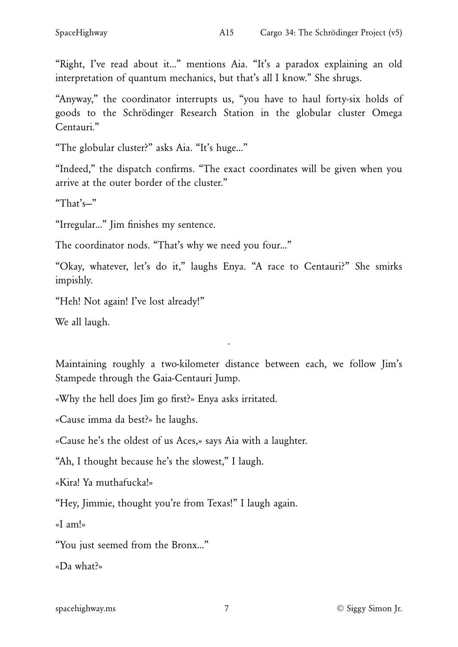"Right, I've read about it…" mentions Aia. "It's a paradox explaining an old interpretation of quantum mechanics, but that's all I know." She shrugs.

"Anyway," the coordinator interrupts us, "you have to haul forty-six holds of goods to the Schrödinger Research Station in the globular cluster Omega Centauri."

"The globular cluster?" asks Aia. "It's huge…"

"Indeed," the dispatch confirms. "The exact coordinates will be given when you arrive at the outer border of the cluster."

"That's—"

"Irregular…" Jim finishes my sentence.

The coordinator nods. "That's why we need you four…"

"Okay, whatever, let's do it," laughs Enya. "A race to Centauri?" She smirks impishly.

"Heh! Not again! I've lost already!"

We all laugh.

Maintaining roughly a two-kilometer distance between each, we follow Jim's Stampede through the Gaia-Centauri Jump.

·

«Why the hell does Jim go first?» Enya asks irritated.

«Cause imma da best?» he laughs.

«Cause he's the oldest of us Aces,» says Aia with a laughter.

"Ah, I thought because he's the slowest," I laugh.

«Kira! Ya muthafucka!»

"Hey, Jimmie, thought you're from Texas!" I laugh again.

«I am!»

"You just seemed from the Bronx…"

«Da what?»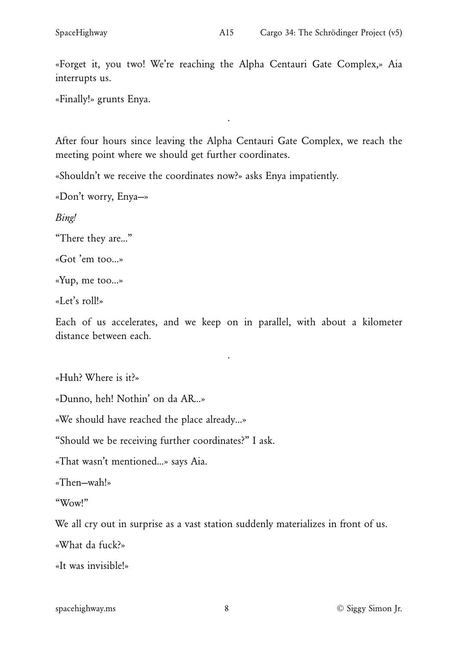«Forget it, you two! We're reaching the Alpha Centauri Gate Complex,» Aia interrupts us.

«Finally!» grunts Enya.

After four hours since leaving the Alpha Centauri Gate Complex, we reach the meeting point where we should get further coordinates.

·

«Shouldn't we receive the coordinates now?» asks Enya impatiently.

«Don't worry, Enya—»

*Bing!*

"There they are…"

«Got 'em too…»

«Yup, me too…»

«Let's roll!»

Each of us accelerates, and we keep on in parallel, with about a kilometer distance between each.

·

«Huh? Where is it?»

«Dunno, heh! Nothin' on da AR…»

«We should have reached the place already…»

"Should we be receiving further coordinates?" I ask.

«That wasn't mentioned…» says Aia.

«Then—wah!»

" $W<sub>OW</sub>$ "

We all cry out in surprise as a vast station suddenly materializes in front of us.

«What da fuck?»

«It was invisible!»

[spacehighway.ms](https://spacehighway.ms) 8 8 8 8 8 2 8 8 9 8 9 8 9 9 10 1 1 2 8 9 8 9 9 10 1 2 8 9 8 9 9 10 1 2 8 9 8 9 9 10 1 2 8 9 10 11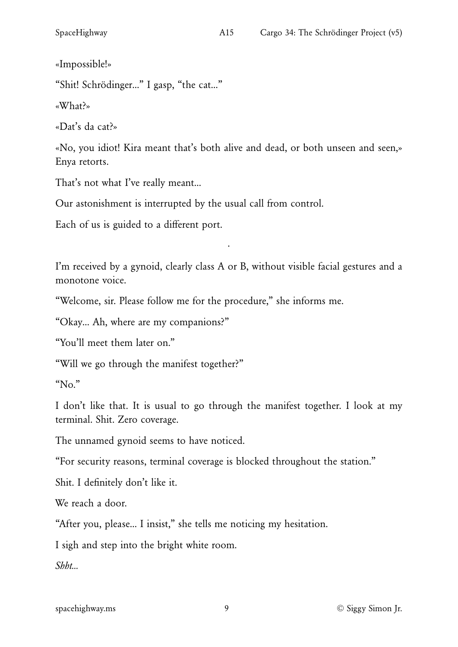«Impossible!»

"Shit! Schrödinger…" I gasp, "the cat…"

«What?»

«Dat's da cat?»

«No, you idiot! Kira meant that's both alive and dead, or both unseen and seen,» Enya retorts.

That's not what I've really meant…

Our astonishment is interrupted by the usual call from control.

Each of us is guided to a different port.

I'm received by a gynoid, clearly class A or B, without visible facial gestures and a monotone voice.

·

"Welcome, sir. Please follow me for the procedure," she informs me.

"Okay… Ah, where are my companions?"

"You'll meet them later on."

"Will we go through the manifest together?"

"No."

I don't like that. It is usual to go through the manifest together. I look at my terminal. Shit. Zero coverage.

The unnamed gynoid seems to have noticed.

"For security reasons, terminal coverage is blocked throughout the station."

Shit. I definitely don't like it.

We reach a door.

"After you, please… I insist," she tells me noticing my hesitation.

I sigh and step into the bright white room.

*Shht…*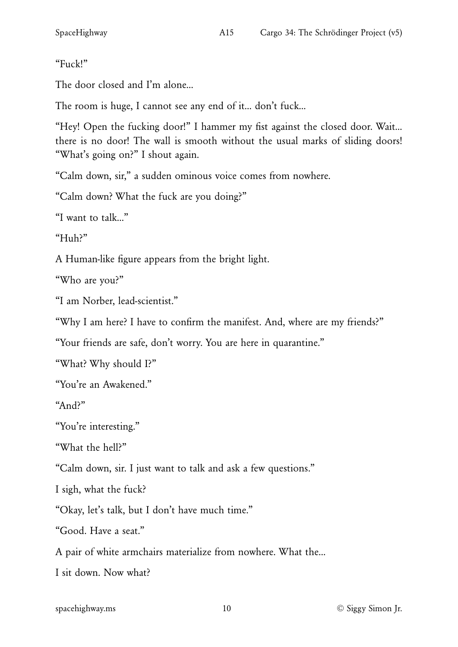#### "Fuck!"

The door closed and I'm alone…

The room is huge, I cannot see any end of it… don't fuck…

"Hey! Open the fucking door!" I hammer my fist against the closed door. Wait… there is no door! The wall is smooth without the usual marks of sliding doors! "What's going on?" I shout again.

"Calm down, sir," a sudden ominous voice comes from nowhere.

"Calm down? What the fuck are you doing?"

"I want to talk…"

"Huh?"

A Human-like figure appears from the bright light.

"Who are you?"

"I am Norber, lead-scientist."

"Why I am here? I have to confirm the manifest. And, where are my friends?"

"Your friends are safe, don't worry. You are here in quarantine."

"What? Why should I?"

"You're an Awakened."

"And?"

"You're interesting."

"What the hell?"

"Calm down, sir. I just want to talk and ask a few questions."

I sigh, what the fuck?

"Okay, let's talk, but I don't have much time."

"Good. Have a seat."

A pair of white armchairs materialize from nowhere. What the…

I sit down. Now what?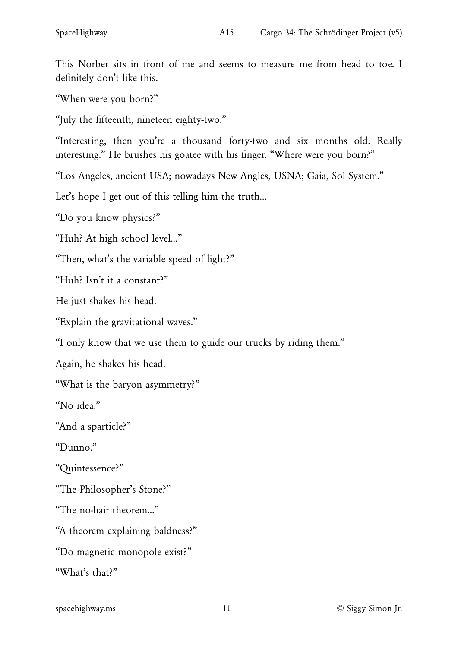This Norber sits in front of me and seems to measure me from head to toe. I definitely don't like this.

"When were you born?"

"July the fifteenth, nineteen eighty-two."

"Interesting, then you're a thousand forty-two and six months old. Really interesting." He brushes his goatee with his finger. "Where were you born?"

"Los Angeles, ancient USA; nowadays New Angles, USNA; Gaia, Sol System."

Let's hope I get out of this telling him the truth…

"Do you know physics?"

"Huh? At high school level…"

"Then, what's the variable speed of light?"

"Huh? Isn't it a constant?"

He just shakes his head.

"Explain the gravitational waves."

"I only know that we use them to guide our trucks by riding them."

Again, he shakes his head.

"What is the baryon asymmetry?"

"No idea."

"And a sparticle?"

"Dunno."

"Quintessence?"

"The Philosopher's Stone?"

"The no-hair theorem…"

"A theorem explaining baldness?"

"Do magnetic monopole exist?"

"What's that?"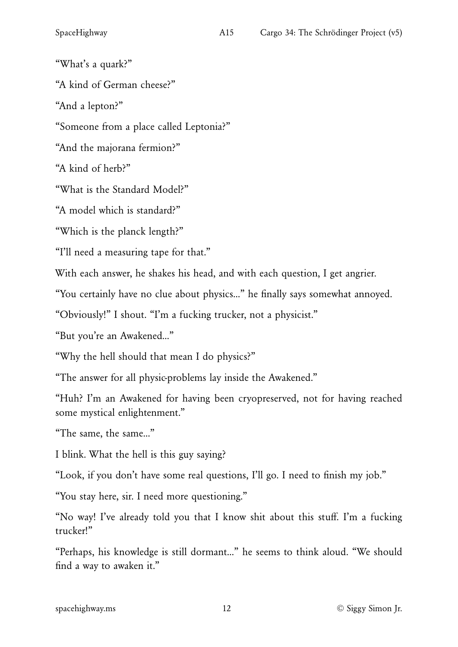"What's a quark?" "A kind of German cheese?" "And a lepton?" "Someone from a place called Leptonia?" "And the majorana fermion?" "A kind of herb?" "What is the Standard Model?" "A model which is standard?" "Which is the planck length?" "I'll need a measuring tape for that." With each answer, he shakes his head, and with each question, I get angrier. "You certainly have no clue about physics…" he finally says somewhat annoyed. "Obviously!" I shout. "I'm a fucking trucker, not a physicist." "But you're an Awakened…" "Why the hell should that mean I do physics?" "The answer for all physic-problems lay inside the Awakened." "Huh? I'm an Awakened for having been cryopreserved, not for having reached some mystical enlightenment." "The same, the same…" I blink. What the hell is this guy saying?

"Look, if you don't have some real questions, I'll go. I need to finish my job."

"You stay here, sir. I need more questioning."

"No way! I've already told you that I know shit about this stuff. I'm a fucking trucker!"

"Perhaps, his knowledge is still dormant…" he seems to think aloud. "We should find a way to awaken it."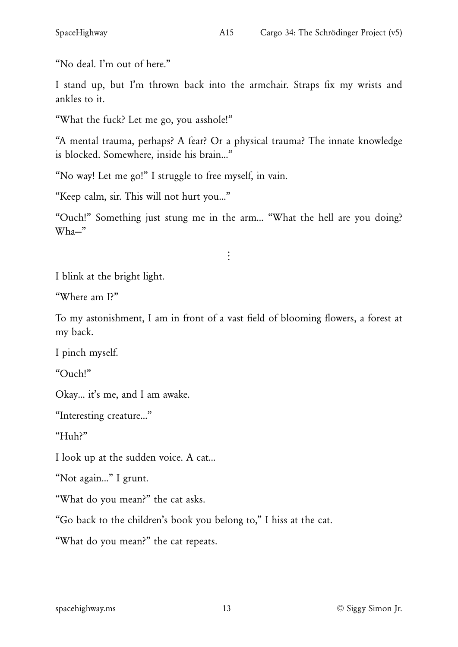"No deal. I'm out of here."

I stand up, but I'm thrown back into the armchair. Straps fix my wrists and ankles to it.

"What the fuck? Let me go, you asshole!"

"A mental trauma, perhaps? A fear? Or a physical trauma? The innate knowledge is blocked. Somewhere, inside his brain…"

"No way! Let me go!" I struggle to free myself, in vain.

"Keep calm, sir. This will not hurt you…"

"Ouch!" Something just stung me in the arm… "What the hell are you doing? Wha—"

 $\vdots$ 

I blink at the bright light.

"Where am I?"

To my astonishment, I am in front of a vast field of blooming flowers, a forest at my back.

I pinch myself.

"Ouch!"

Okay… it's me, and I am awake.

"Interesting creature…"

"Huh?"

I look up at the sudden voice. A cat…

"Not again…" I grunt.

"What do you mean?" the cat asks.

"Go back to the children's book you belong to," I hiss at the cat.

"What do you mean?" the cat repeats.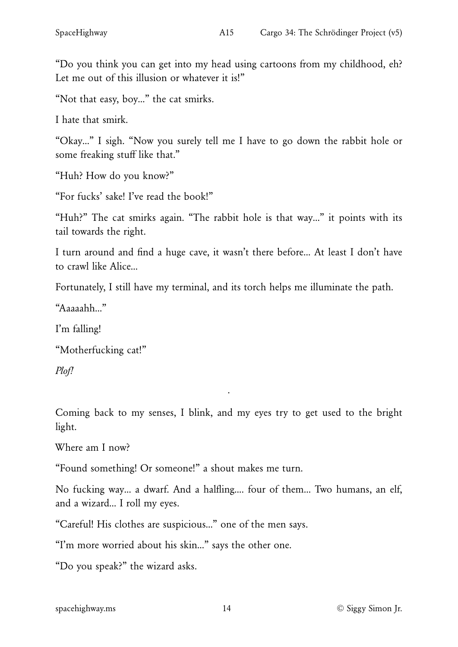"Do you think you can get into my head using cartoons from my childhood, eh? Let me out of this illusion or whatever it is!"

"Not that easy, boy…" the cat smirks.

I hate that smirk.

"Okay…" I sigh. "Now you surely tell me I have to go down the rabbit hole or some freaking stuff like that."

"Huh? How do you know?"

"For fucks' sake! I've read the book!"

"Huh?" The cat smirks again. "The rabbit hole is that way…" it points with its tail towards the right.

I turn around and find a huge cave, it wasn't there before… At least I don't have to crawl like Alice…

Fortunately, I still have my terminal, and its torch helps me illuminate the path.

"Aaaaahh…"

I'm falling!

"Motherfucking cat!"

*Plof!*

Coming back to my senses, I blink, and my eyes try to get used to the bright light.

·

Where am I now?

"Found something! Or someone!" a shout makes me turn.

No fucking way… a dwarf. And a halfling…. four of them… Two humans, an elf, and a wizard… I roll my eyes.

"Careful! His clothes are suspicious…" one of the men says.

"I'm more worried about his skin…" says the other one.

"Do you speak?" the wizard asks.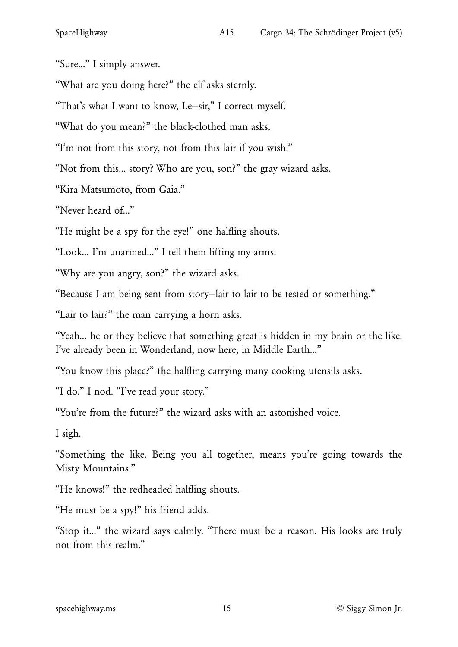"Sure…" I simply answer.

"What are you doing here?" the elf asks sternly.

"That's what I want to know, Le—sir," I correct myself.

"What do you mean?" the black-clothed man asks.

"I'm not from this story, not from this lair if you wish."

"Not from this… story? Who are you, son?" the gray wizard asks.

"Kira Matsumoto, from Gaia."

"Never heard of…"

"He might be a spy for the eye!" one halfling shouts.

"Look… I'm unarmed…" I tell them lifting my arms.

"Why are you angry, son?" the wizard asks.

"Because I am being sent from story—lair to lair to be tested or something."

"Lair to lair?" the man carrying a horn asks.

"Yeah… he or they believe that something great is hidden in my brain or the like. I've already been in Wonderland, now here, in Middle Earth…"

"You know this place?" the halfling carrying many cooking utensils asks.

"I do." I nod. "I've read your story."

"You're from the future?" the wizard asks with an astonished voice.

I sigh.

"Something the like. Being you all together, means you're going towards the Misty Mountains."

"He knows!" the redheaded halfling shouts.

"He must be a spy!" his friend adds.

"Stop it…" the wizard says calmly. "There must be a reason. His looks are truly not from this realm."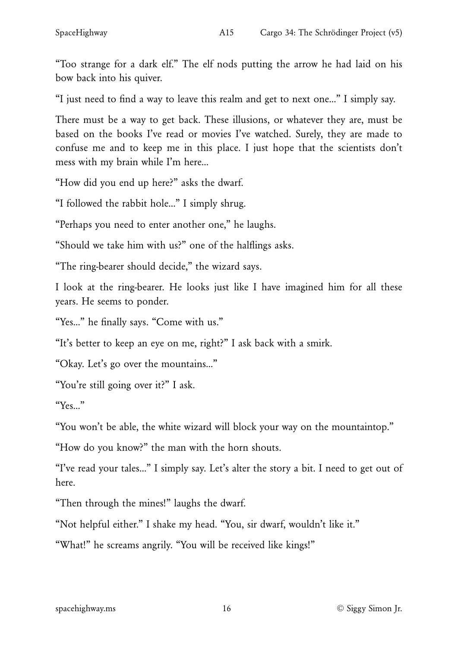"Too strange for a dark elf." The elf nods putting the arrow he had laid on his bow back into his quiver.

"I just need to find a way to leave this realm and get to next one…" I simply say.

There must be a way to get back. These illusions, or whatever they are, must be based on the books I've read or movies I've watched. Surely, they are made to confuse me and to keep me in this place. I just hope that the scientists don't mess with my brain while I'm here…

"How did you end up here?" asks the dwarf.

"I followed the rabbit hole…" I simply shrug.

"Perhaps you need to enter another one," he laughs.

"Should we take him with us?" one of the halflings asks.

"The ring-bearer should decide," the wizard says.

I look at the ring-bearer. He looks just like I have imagined him for all these years. He seems to ponder.

"Yes…" he finally says. "Come with us."

"It's better to keep an eye on me, right?" I ask back with a smirk.

"Okay. Let's go over the mountains…"

"You're still going over it?" I ask.

"Yes…"

"You won't be able, the white wizard will block your way on the mountaintop."

"How do you know?" the man with the horn shouts.

"I've read your tales…" I simply say. Let's alter the story a bit. I need to get out of here.

"Then through the mines!" laughs the dwarf.

"Not helpful either." I shake my head. "You, sir dwarf, wouldn't like it."

"What!" he screams angrily. "You will be received like kings!"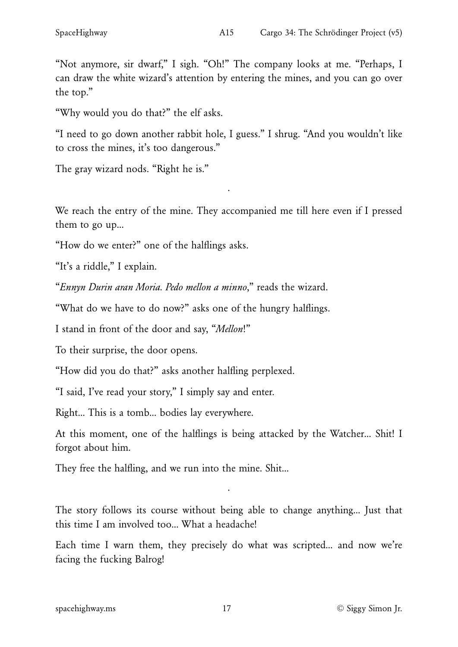"Not anymore, sir dwarf," I sigh. "Oh!" The company looks at me. "Perhaps, I can draw the white wizard's attention by entering the mines, and you can go over the top."

"Why would you do that?" the elf asks.

"I need to go down another rabbit hole, I guess." I shrug. "And you wouldn't like to cross the mines, it's too dangerous."

The gray wizard nods. "Right he is."

We reach the entry of the mine. They accompanied me till here even if I pressed them to go up…

·

"How do we enter?" one of the halflings asks.

"It's a riddle," I explain.

"*Ennyn Durin aran Moria. Pedo mellon a minno*," reads the wizard.

"What do we have to do now?" asks one of the hungry halflings.

I stand in front of the door and say, "*Mellon*!"

To their surprise, the door opens.

"How did you do that?" asks another halfling perplexed.

"I said, I've read your story," I simply say and enter.

Right… This is a tomb… bodies lay everywhere.

At this moment, one of the halflings is being attacked by the Watcher… Shit! I forgot about him.

They free the halfling, and we run into the mine. Shit…

The story follows its course without being able to change anything… Just that this time I am involved too… What a headache!

·

Each time I warn them, they precisely do what was scripted… and now we're facing the fucking Balrog!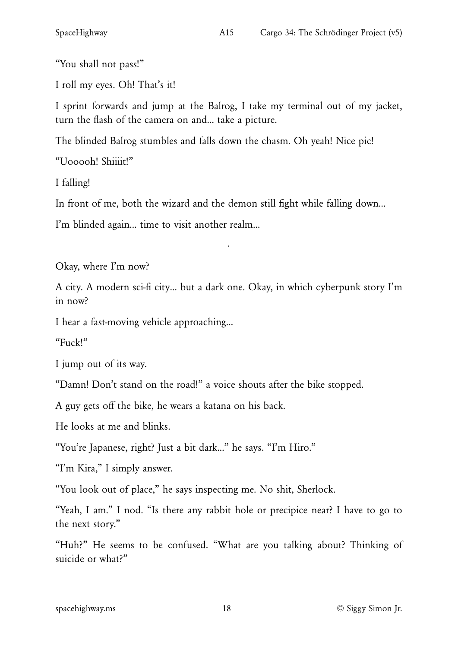"You shall not pass!"

I roll my eyes. Oh! That's it!

I sprint forwards and jump at the Balrog, I take my terminal out of my jacket, turn the flash of the camera on and… take a picture.

The blinded Balrog stumbles and falls down the chasm. Oh yeah! Nice pic!

"Uooooh! Shiiiit!"

I falling!

In front of me, both the wizard and the demon still fight while falling down…

I'm blinded again… time to visit another realm…

Okay, where I'm now?

A city. A modern sci-fi city… but a dark one. Okay, in which cyberpunk story I'm in now?

·

I hear a fast-moving vehicle approaching…

"Fuck!"

I jump out of its way.

"Damn! Don't stand on the road!" a voice shouts after the bike stopped.

A guy gets off the bike, he wears a katana on his back.

He looks at me and blinks.

"You're Japanese, right? Just a bit dark…" he says. "I'm Hiro."

"I'm Kira," I simply answer.

"You look out of place," he says inspecting me. No shit, Sherlock.

"Yeah, I am." I nod. "Is there any rabbit hole or precipice near? I have to go to the next story."

"Huh?" He seems to be confused. "What are you talking about? Thinking of suicide or what?"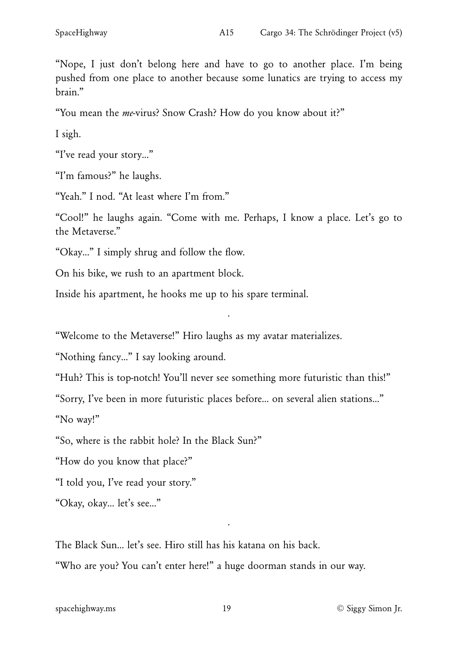"Nope, I just don't belong here and have to go to another place. I'm being pushed from one place to another because some lunatics are trying to access my brain."

"You mean the *me*-virus? Snow Crash? How do you know about it?"

I sigh.

"I've read your story…"

"I'm famous?" he laughs.

"Yeah." I nod. "At least where I'm from."

"Cool!" he laughs again. "Come with me. Perhaps, I know a place. Let's go to the Metaverse."

"Okay…" I simply shrug and follow the flow.

On his bike, we rush to an apartment block.

Inside his apartment, he hooks me up to his spare terminal.

"Welcome to the Metaverse!" Hiro laughs as my avatar materializes.

"Nothing fancy…" I say looking around.

"Huh? This is top-notch! You'll never see something more futuristic than this!"

·

"Sorry, I've been in more futuristic places before… on several alien stations…"

"No way!"

"So, where is the rabbit hole? In the Black Sun?"

"How do you know that place?"

"I told you, I've read your story."

"Okay, okay… let's see…"

The Black Sun… let's see. Hiro still has his katana on his back. "Who are you? You can't enter here!" a huge doorman stands in our way.

·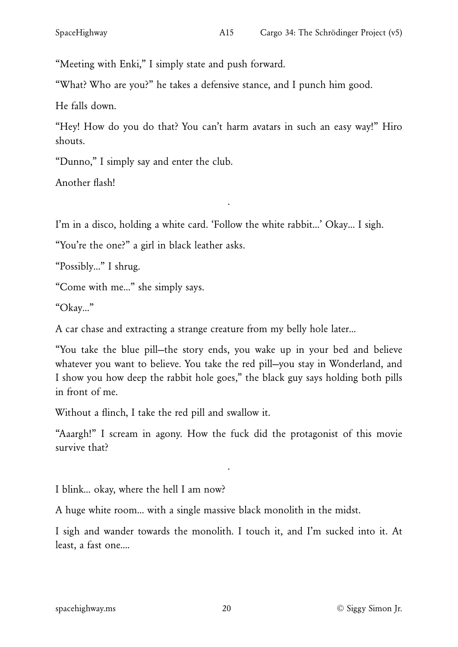"Meeting with Enki," I simply state and push forward.

"What? Who are you?" he takes a defensive stance, and I punch him good.

He falls down.

"Hey! How do you do that? You can't harm avatars in such an easy way!" Hiro shouts.

"Dunno," I simply say and enter the club.

Another flash!

I'm in a disco, holding a white card. 'Follow the white rabbit…' Okay… I sigh.

·

"You're the one?" a girl in black leather asks.

"Possibly…" I shrug.

"Come with me…" she simply says.

"Okay…"

A car chase and extracting a strange creature from my belly hole later…

"You take the blue pill—the story ends, you wake up in your bed and believe whatever you want to believe. You take the red pill—you stay in Wonderland, and I show you how deep the rabbit hole goes," the black guy says holding both pills in front of me.

Without a flinch, I take the red pill and swallow it.

"Aaargh!" I scream in agony. How the fuck did the protagonist of this movie survive that?

·

I blink… okay, where the hell I am now?

A huge white room… with a single massive black monolith in the midst.

I sigh and wander towards the monolith. I touch it, and I'm sucked into it. At least, a fast one….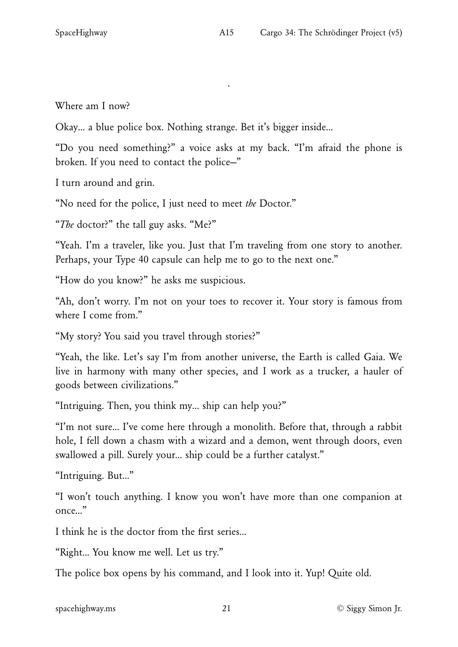Where am I now?

Okay… a blue police box. Nothing strange. Bet it's bigger inside…

"Do you need something?" a voice asks at my back. "I'm afraid the phone is broken. If you need to contact the police—"

·

I turn around and grin.

"No need for the police, I just need to meet *the* Doctor."

"*The* doctor?" the tall guy asks. "Me?"

"Yeah. I'm a traveler, like you. Just that I'm traveling from one story to another. Perhaps, your Type 40 capsule can help me to go to the next one."

"How do you know?" he asks me suspicious.

"Ah, don't worry. I'm not on your toes to recover it. Your story is famous from where I come from."

"My story? You said you travel through stories?"

"Yeah, the like. Let's say I'm from another universe, the Earth is called Gaia. We live in harmony with many other species, and I work as a trucker, a hauler of goods between civilizations."

"Intriguing. Then, you think my… ship can help you?"

"I'm not sure… I've come here through a monolith. Before that, through a rabbit hole, I fell down a chasm with a wizard and a demon, went through doors, even swallowed a pill. Surely your… ship could be a further catalyst."

"Intriguing. But…"

"I won't touch anything. I know you won't have more than one companion at once…"

I think he is the doctor from the first series…

"Right… You know me well. Let us try."

The police box opens by his command, and I look into it. Yup! Quite old.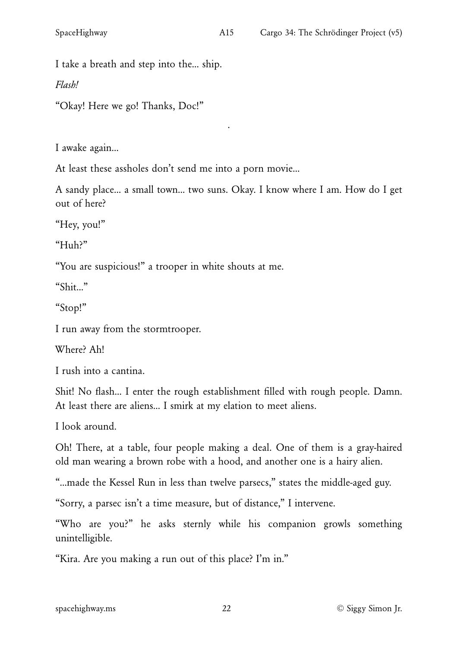I take a breath and step into the… ship.

*Flash!*

"Okay! Here we go! Thanks, Doc!"

I awake again…

At least these assholes don't send me into a porn movie…

A sandy place… a small town… two suns. Okay. I know where I am. How do I get out of here?

·

"Hey, you!"

"Huh?"

"You are suspicious!" a trooper in white shouts at me.

"Shit…"

"Stop!"

I run away from the stormtrooper.

Where? Ah!

I rush into a cantina.

Shit! No flash… I enter the rough establishment filled with rough people. Damn. At least there are aliens… I smirk at my elation to meet aliens.

I look around.

Oh! There, at a table, four people making a deal. One of them is a gray-haired old man wearing a brown robe with a hood, and another one is a hairy alien.

"…made the Kessel Run in less than twelve parsecs," states the middle-aged guy.

"Sorry, a parsec isn't a time measure, but of distance," I intervene.

"Who are you?" he asks sternly while his companion growls something unintelligible.

"Kira. Are you making a run out of this place? I'm in."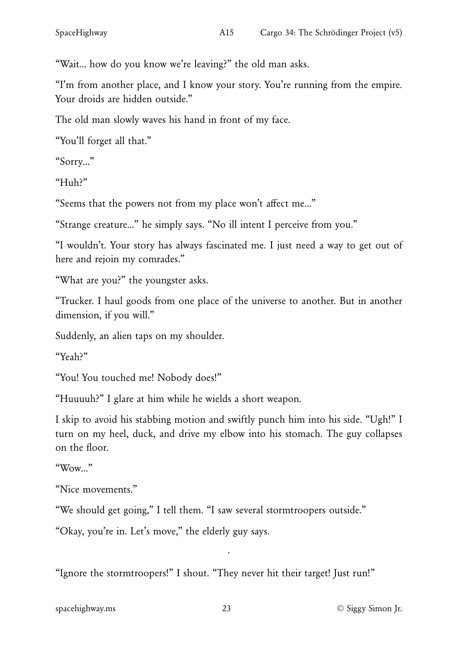"Wait… how do you know we're leaving?" the old man asks.

"I'm from another place, and I know your story. You're running from the empire. Your droids are hidden outside."

The old man slowly waves his hand in front of my face.

"You'll forget all that."

"Sorry…"

 $"H<sub>11</sub>h$ <sup>"</sup>

"Seems that the powers not from my place won't affect me…"

"Strange creature…" he simply says. "No ill intent I perceive from you."

"I wouldn't. Your story has always fascinated me. I just need a way to get out of here and rejoin my comrades."

"What are you?" the youngster asks.

"Trucker. I haul goods from one place of the universe to another. But in another dimension, if you will."

Suddenly, an alien taps on my shoulder.

"Yeah?"

"You! You touched me! Nobody does!"

"Huuuuh?" I glare at him while he wields a short weapon.

I skip to avoid his stabbing motion and swiftly punch him into his side. "Ugh!" I turn on my heel, duck, and drive my elbow into his stomach. The guy collapses on the floor.

" $W_{\text{OW}}$ "

"Nice movements."

"We should get going," I tell them. "I saw several stormtroopers outside."

"Okay, you're in. Let's move," the elderly guy says.

"Ignore the stormtroopers!" I shout. "They never hit their target! Just run!"

·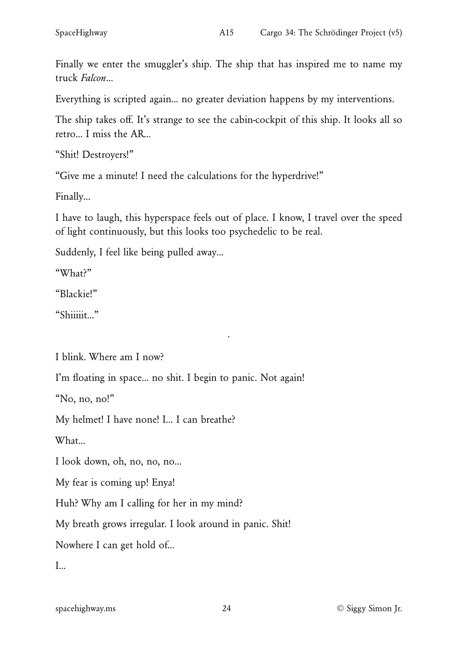Finally we enter the smuggler's ship. The ship that has inspired me to name my truck *Falcon*…

Everything is scripted again… no greater deviation happens by my interventions.

The ship takes off. It's strange to see the cabin-cockpit of this ship. It looks all so retro… I miss the AR…

"Shit! Destroyers!"

"Give me a minute! I need the calculations for the hyperdrive!"

Finally…

I have to laugh, this hyperspace feels out of place. I know, I travel over the speed of light continuously, but this looks too psychedelic to be real.

·

Suddenly, I feel like being pulled away…

"What?"

"Blackie!"

"Shiiiiit…"

I blink. Where am I now?

I'm floating in space… no shit. I begin to panic. Not again!

"No, no, no!"

My helmet! I have none! I… I can breathe?

What…

I look down, oh, no, no, no…

My fear is coming up! Enya!

Huh? Why am I calling for her in my mind?

My breath grows irregular. I look around in panic. Shit!

Nowhere I can get hold of…

I…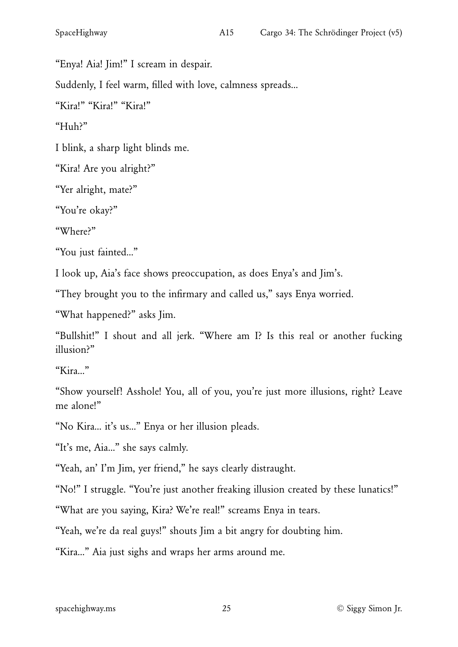"Enya! Aia! Jim!" I scream in despair.

Suddenly, I feel warm, filled with love, calmness spreads…

"Kira!" "Kira!" "Kira!"

"Huh?"

I blink, a sharp light blinds me.

"Kira! Are you alright?"

"Yer alright, mate?"

"You're okay?"

"Where?"

"You just fainted…"

I look up, Aia's face shows preoccupation, as does Enya's and Jim's.

"They brought you to the infirmary and called us," says Enya worried.

"What happened?" asks Jim.

"Bullshit!" I shout and all jerk. "Where am I? Is this real or another fucking illusion?"

"Kira…"

"Show yourself! Asshole! You, all of you, you're just more illusions, right? Leave me alone!"

"No Kira… it's us…" Enya or her illusion pleads.

"It's me, Aia…" she says calmly.

"Yeah, an' I'm Jim, yer friend," he says clearly distraught.

"No!" I struggle. "You're just another freaking illusion created by these lunatics!"

"What are you saying, Kira? We're real!" screams Enya in tears.

"Yeah, we're da real guys!" shouts Jim a bit angry for doubting him.

"Kira…" Aia just sighs and wraps her arms around me.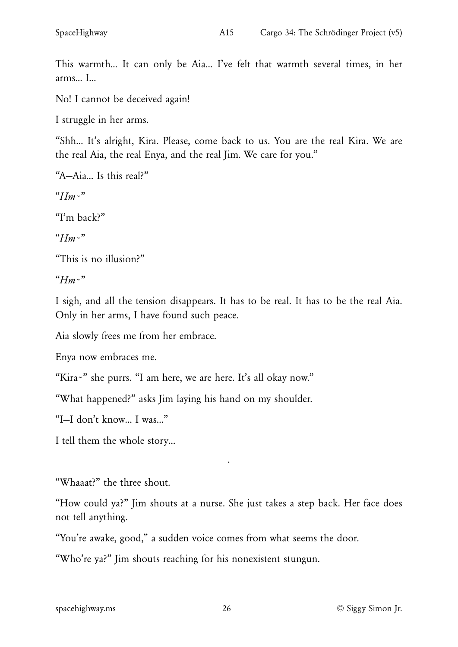This warmth… It can only be Aia… I've felt that warmth several times, in her arms… I…

No! I cannot be deceived again!

I struggle in her arms.

"Shh… It's alright, Kira. Please, come back to us. You are the real Kira. We are the real Aia, the real Enya, and the real Jim. We care for you."

"A—Aia… Is this real?" "*Hm*~" "I'm back?" "*Hm*~" "This is no illusion?" "*Hm*~"

I sigh, and all the tension disappears. It has to be real. It has to be the real Aia. Only in her arms, I have found such peace.

Aia slowly frees me from her embrace.

Enya now embraces me.

"Kira~" she purrs. "I am here, we are here. It's all okay now."

"What happened?" asks Jim laying his hand on my shoulder.

"I—I don't know… I was…"

I tell them the whole story…

"Whaaat?" the three shout.

"How could ya?" Jim shouts at a nurse. She just takes a step back. Her face does not tell anything.

·

"You're awake, good," a sudden voice comes from what seems the door.

"Who're ya?" Jim shouts reaching for his nonexistent stungun.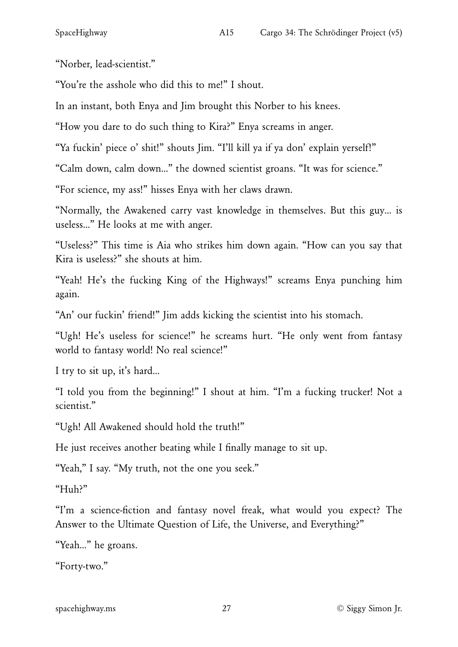"Norber, lead-scientist."

"You're the asshole who did this to me!" I shout.

In an instant, both Enya and Jim brought this Norber to his knees.

"How you dare to do such thing to Kira?" Enya screams in anger.

"Ya fuckin' piece o' shit!" shouts Jim. "I'll kill ya if ya don' explain yerself!"

"Calm down, calm down…" the downed scientist groans. "It was for science."

"For science, my ass!" hisses Enya with her claws drawn.

"Normally, the Awakened carry vast knowledge in themselves. But this guy… is useless…" He looks at me with anger.

"Useless?" This time is Aia who strikes him down again. "How can you say that Kira is useless?" she shouts at him.

"Yeah! He's the fucking King of the Highways!" screams Enya punching him again.

"An' our fuckin' friend!" Jim adds kicking the scientist into his stomach.

"Ugh! He's useless for science!" he screams hurt. "He only went from fantasy world to fantasy world! No real science!"

I try to sit up, it's hard…

"I told you from the beginning!" I shout at him. "I'm a fucking trucker! Not a scientist."

"Ugh! All Awakened should hold the truth!"

He just receives another beating while I finally manage to sit up.

"Yeah," I say. "My truth, not the one you seek."

"Huh?"

"I'm a science-fiction and fantasy novel freak, what would you expect? The Answer to the Ultimate Question of Life, the Universe, and Everything?"

"Yeah…" he groans.

"Forty-two."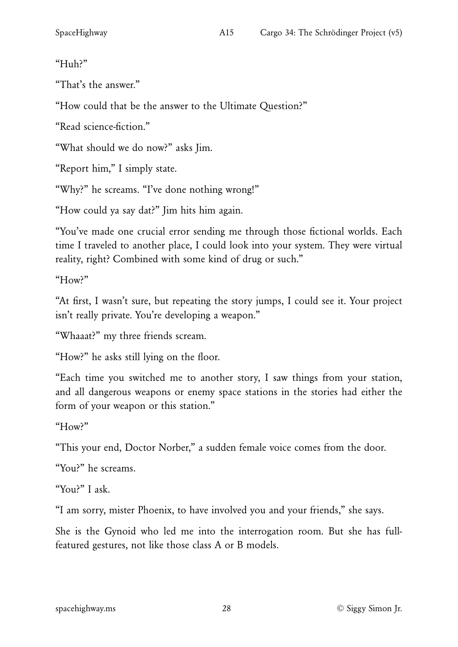#### "Huh?"

"That's the answer."

"How could that be the answer to the Ultimate Question?"

"Read science-fiction."

"What should we do now?" asks Jim.

"Report him," I simply state.

"Why?" he screams. "I've done nothing wrong!"

"How could ya say dat?" Jim hits him again.

"You've made one crucial error sending me through those fictional worlds. Each time I traveled to another place, I could look into your system. They were virtual reality, right? Combined with some kind of drug or such."

"How?"

"At first, I wasn't sure, but repeating the story jumps, I could see it. Your project isn't really private. You're developing a weapon."

"Whaaat?" my three friends scream.

"How?" he asks still lying on the floor.

"Each time you switched me to another story, I saw things from your station, and all dangerous weapons or enemy space stations in the stories had either the form of your weapon or this station."

 $H_{\text{OW}}$ "

"This your end, Doctor Norber," a sudden female voice comes from the door.

"You?" he screams.

"You?" I ask.

"I am sorry, mister Phoenix, to have involved you and your friends," she says.

She is the Gynoid who led me into the interrogation room. But she has fullfeatured gestures, not like those class A or B models.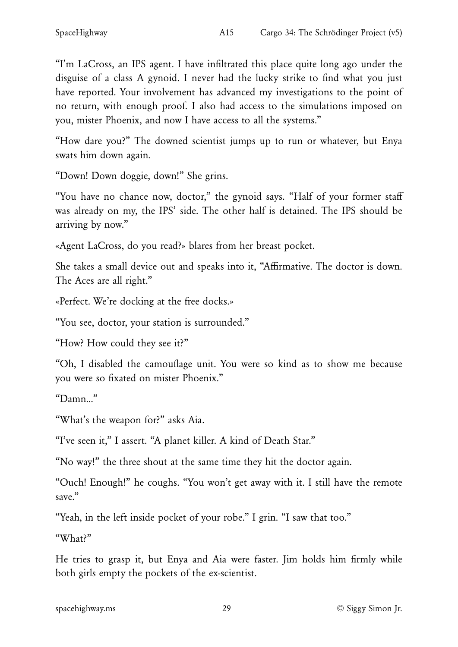"I'm LaCross, an IPS agent. I have infiltrated this place quite long ago under the disguise of a class A gynoid. I never had the lucky strike to find what you just have reported. Your involvement has advanced my investigations to the point of no return, with enough proof. I also had access to the simulations imposed on you, mister Phoenix, and now I have access to all the systems."

"How dare you?" The downed scientist jumps up to run or whatever, but Enya swats him down again.

"Down! Down doggie, down!" She grins.

"You have no chance now, doctor," the gynoid says. "Half of your former staff was already on my, the IPS' side. The other half is detained. The IPS should be arriving by now."

«Agent LaCross, do you read?» blares from her breast pocket.

She takes a small device out and speaks into it, "Affirmative. The doctor is down. The Aces are all right."

«Perfect. We're docking at the free docks.»

"You see, doctor, your station is surrounded."

"How? How could they see it?"

"Oh, I disabled the camouflage unit. You were so kind as to show me because you were so fixated on mister Phoenix."

"Damn…"

"What's the weapon for?" asks Aia.

"I've seen it," I assert. "A planet killer. A kind of Death Star."

"No way!" the three shout at the same time they hit the doctor again.

"Ouch! Enough!" he coughs. "You won't get away with it. I still have the remote save."

"Yeah, in the left inside pocket of your robe." I grin. "I saw that too."

"What?"

He tries to grasp it, but Enya and Aia were faster. Jim holds him firmly while both girls empty the pockets of the ex-scientist.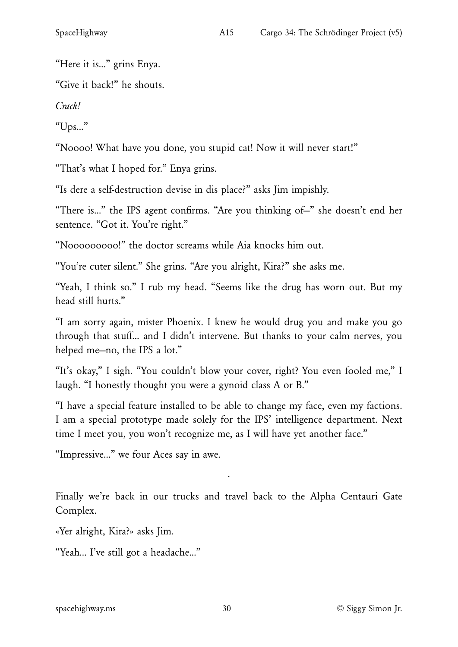"Here it is…" grins Enya.

"Give it back!" he shouts.

*Crack!*

"Ups…"

"Noooo! What have you done, you stupid cat! Now it will never start!"

"That's what I hoped for." Enya grins.

"Is dere a self-destruction devise in dis place?" asks Jim impishly.

"There is…" the IPS agent confirms. "Are you thinking of—" she doesn't end her sentence. "Got it. You're right."

"Nooooooooo!" the doctor screams while Aia knocks him out.

"You're cuter silent." She grins. "Are you alright, Kira?" she asks me.

"Yeah, I think so." I rub my head. "Seems like the drug has worn out. But my head still hurts."

"I am sorry again, mister Phoenix. I knew he would drug you and make you go through that stuff… and I didn't intervene. But thanks to your calm nerves, you helped me—no, the IPS a lot."

"It's okay," I sigh. "You couldn't blow your cover, right? You even fooled me," I laugh. "I honestly thought you were a gynoid class A or B."

"I have a special feature installed to be able to change my face, even my factions. I am a special prototype made solely for the IPS' intelligence department. Next time I meet you, you won't recognize me, as I will have yet another face."

"Impressive…" we four Aces say in awe.

Finally we're back in our trucks and travel back to the Alpha Centauri Gate Complex.

·

«Yer alright, Kira?» asks Jim.

"Yeah… I've still got a headache…"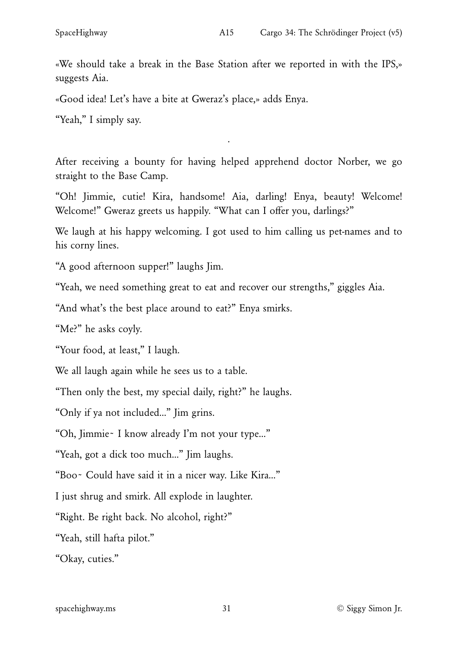«We should take a break in the Base Station after we reported in with the IPS,» suggests Aia.

«Good idea! Let's have a bite at Gweraz's place,» adds Enya.

"Yeah," I simply say.

After receiving a bounty for having helped apprehend doctor Norber, we go straight to the Base Camp.

·

"Oh! Jimmie, cutie! Kira, handsome! Aia, darling! Enya, beauty! Welcome! Welcome!" Gweraz greets us happily. "What can I offer you, darlings?"

We laugh at his happy welcoming. I got used to him calling us pet-names and to his corny lines.

"A good afternoon supper!" laughs Jim.

"Yeah, we need something great to eat and recover our strengths," giggles Aia.

"And what's the best place around to eat?" Enya smirks.

"Me?" he asks coyly.

"Your food, at least," I laugh.

We all laugh again while he sees us to a table.

"Then only the best, my special daily, right?" he laughs.

"Only if ya not included…" Jim grins.

"Oh, Jimmie~ I know already I'm not your type…"

"Yeah, got a dick too much…" Jim laughs.

"Boo~ Could have said it in a nicer way. Like Kira…"

I just shrug and smirk. All explode in laughter.

"Right. Be right back. No alcohol, right?"

"Yeah, still hafta pilot."

"Okay, cuties."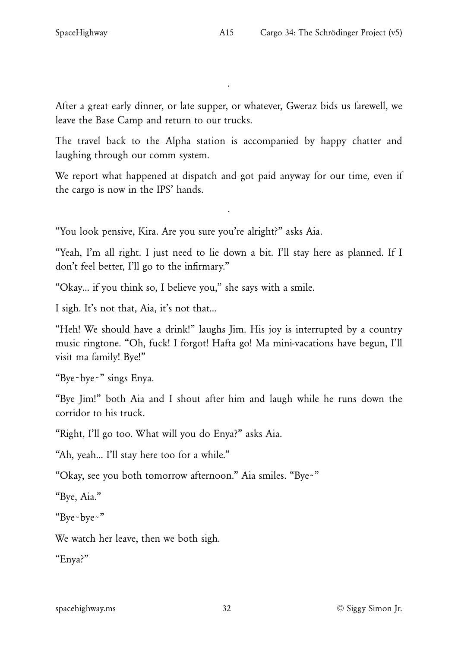After a great early dinner, or late supper, or whatever, Gweraz bids us farewell, we leave the Base Camp and return to our trucks.

·

The travel back to the Alpha station is accompanied by happy chatter and laughing through our comm system.

We report what happened at dispatch and got paid anyway for our time, even if the cargo is now in the IPS' hands.

·

"You look pensive, Kira. Are you sure you're alright?" asks Aia.

"Yeah, I'm all right. I just need to lie down a bit. I'll stay here as planned. If I don't feel better, I'll go to the infirmary."

"Okay… if you think so, I believe you," she says with a smile.

I sigh. It's not that, Aia, it's not that…

"Heh! We should have a drink!" laughs Jim. His joy is interrupted by a country music ringtone. "Oh, fuck! I forgot! Hafta go! Ma mini-vacations have begun, I'll visit ma family! Bye!"

"Bye~bye~" sings Enya.

"Bye Jim!" both Aia and I shout after him and laugh while he runs down the corridor to his truck.

"Right, I'll go too. What will you do Enya?" asks Aia.

"Ah, yeah… I'll stay here too for a while."

"Okay, see you both tomorrow afternoon." Aia smiles. "Bye~"

"Bye, Aia."

"Bye~bye~"

We watch her leave, then we both sigh.

"Enya?"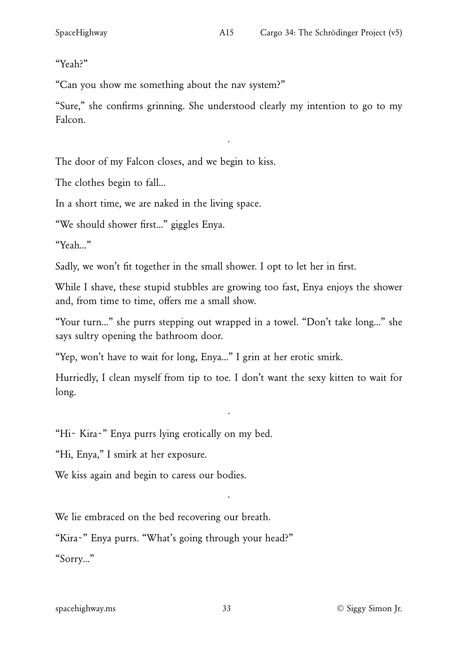"Yeah?"

"Can you show me something about the nav system?"

"Sure," she confirms grinning. She understood clearly my intention to go to my Falcon.

·

The door of my Falcon closes, and we begin to kiss.

The clothes begin to fall…

In a short time, we are naked in the living space.

"We should shower first…" giggles Enya.

"Yeah…"

Sadly, we won't fit together in the small shower. I opt to let her in first.

While I shave, these stupid stubbles are growing too fast, Enya enjoys the shower and, from time to time, offers me a small show.

"Your turn…" she purrs stepping out wrapped in a towel. "Don't take long…" she says sultry opening the bathroom door.

"Yep, won't have to wait for long, Enya…" I grin at her erotic smirk.

Hurriedly, I clean myself from tip to toe. I don't want the sexy kitten to wait for long.

·

·

"Hi~ Kira~" Enya purrs lying erotically on my bed.

"Hi, Enya," I smirk at her exposure.

We kiss again and begin to caress our bodies.

We lie embraced on the bed recovering our breath.

"Kira~" Enya purrs. "What's going through your head?"

"Sorry…"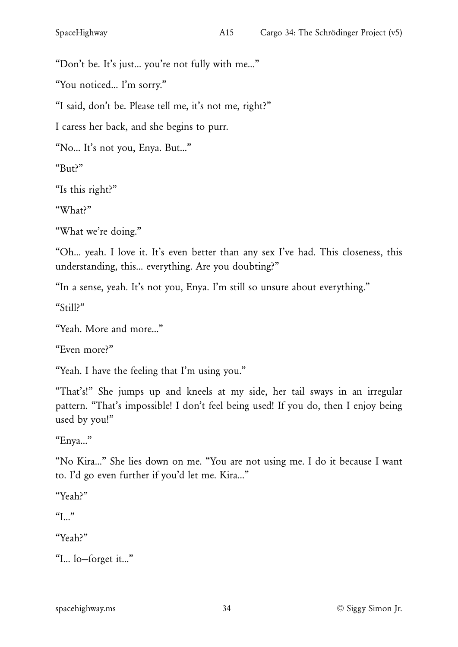"Don't be. It's just… you're not fully with me…"

"You noticed… I'm sorry."

"I said, don't be. Please tell me, it's not me, right?"

I caress her back, and she begins to purr.

"No… It's not you, Enya. But…"

"But?"

"Is this right?"

"What?"

"What we're doing."

"Oh… yeah. I love it. It's even better than any sex I've had. This closeness, this understanding, this… everything. Are you doubting?"

"In a sense, yeah. It's not you, Enya. I'm still so unsure about everything."

"Still?"

"Yeah. More and more…"

"Even more?"

"Yeah. I have the feeling that I'm using you."

"That's!" She jumps up and kneels at my side, her tail sways in an irregular pattern. "That's impossible! I don't feel being used! If you do, then I enjoy being used by you!"

"Enya…"

"No Kira…" She lies down on me. "You are not using me. I do it because I want to. I'd go even further if you'd let me. Kira…"

"Yeah?"

"I…"

"Yeah?"

"I… lo—forget it…"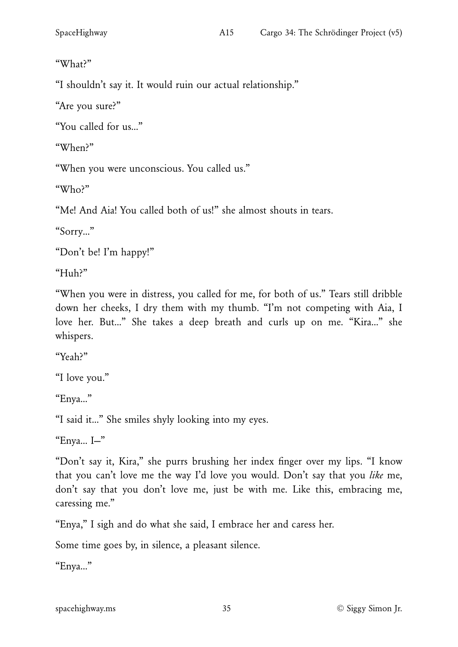"What?"

"I shouldn't say it. It would ruin our actual relationship."

"Are you sure?"

"You called for us…"

"When?"

"When you were unconscious. You called us."

"Who?"

"Me! And Aia! You called both of us!" she almost shouts in tears.

"Sorry…"

"Don't be! I'm happy!"

"Huh?"

"When you were in distress, you called for me, for both of us." Tears still dribble down her cheeks, I dry them with my thumb. "I'm not competing with Aia, I love her. But…" She takes a deep breath and curls up on me. "Kira…" she whispers.

"Yeah?"

"I love you."

"Enya…"

"I said it…" She smiles shyly looking into my eyes.

"Enya… I—"

"Don't say it, Kira," she purrs brushing her index finger over my lips. "I know that you can't love me the way I'd love you would. Don't say that you *like* me, don't say that you don't love me, just be with me. Like this, embracing me, caressing me."

"Enya," I sigh and do what she said, I embrace her and caress her.

Some time goes by, in silence, a pleasant silence.

"Enya…"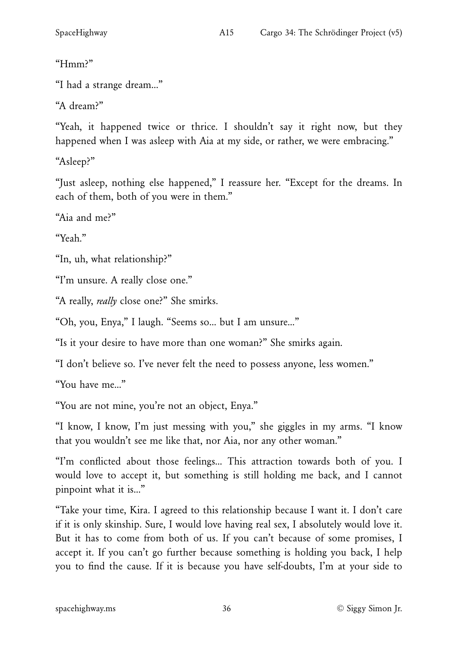#### "Hmm?"

"I had a strange dream…"

"A dream?"

"Yeah, it happened twice or thrice. I shouldn't say it right now, but they happened when I was asleep with Aia at my side, or rather, we were embracing."

"Asleep?"

"Just asleep, nothing else happened," I reassure her. "Except for the dreams. In each of them, both of you were in them."

"Aia and me?"

"Yeah."

"In, uh, what relationship?"

"I'm unsure. A really close one."

"A really, *really* close one?" She smirks.

"Oh, you, Enya," I laugh. "Seems so… but I am unsure…"

"Is it your desire to have more than one woman?" She smirks again.

"I don't believe so. I've never felt the need to possess anyone, less women."

"You have me…"

"You are not mine, you're not an object, Enya."

"I know, I know, I'm just messing with you," she giggles in my arms. "I know that you wouldn't see me like that, nor Aia, nor any other woman."

"I'm conflicted about those feelings… This attraction towards both of you. I would love to accept it, but something is still holding me back, and I cannot pinpoint what it is…"

"Take your time, Kira. I agreed to this relationship because I want it. I don't care if it is only skinship. Sure, I would love having real sex, I absolutely would love it. But it has to come from both of us. If you can't because of some promises, I accept it. If you can't go further because something is holding you back, I help you to find the cause. If it is because you have self-doubts, I'm at your side to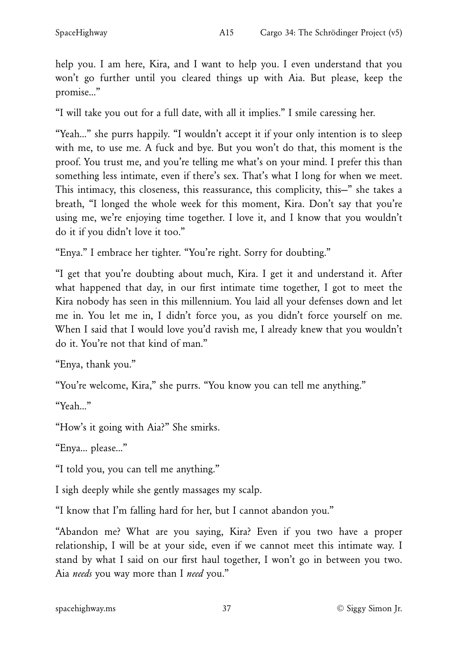help you. I am here, Kira, and I want to help you. I even understand that you won't go further until you cleared things up with Aia. But please, keep the promise…"

"I will take you out for a full date, with all it implies." I smile caressing her.

"Yeah…" she purrs happily. "I wouldn't accept it if your only intention is to sleep with me, to use me. A fuck and bye. But you won't do that, this moment is the proof. You trust me, and you're telling me what's on your mind. I prefer this than something less intimate, even if there's sex. That's what I long for when we meet. This intimacy, this closeness, this reassurance, this complicity, this—" she takes a breath, "I longed the whole week for this moment, Kira. Don't say that you're using me, we're enjoying time together. I love it, and I know that you wouldn't do it if you didn't love it too."

"Enya." I embrace her tighter. "You're right. Sorry for doubting."

"I get that you're doubting about much, Kira. I get it and understand it. After what happened that day, in our first intimate time together, I got to meet the Kira nobody has seen in this millennium. You laid all your defenses down and let me in. You let me in, I didn't force you, as you didn't force yourself on me. When I said that I would love you'd ravish me, I already knew that you wouldn't do it. You're not that kind of man."

"Enya, thank you."

"You're welcome, Kira," she purrs. "You know you can tell me anything."

"Yeah…"

"How's it going with Aia?" She smirks.

"Enya… please…"

"I told you, you can tell me anything."

I sigh deeply while she gently massages my scalp.

"I know that I'm falling hard for her, but I cannot abandon you."

"Abandon me? What are you saying, Kira? Even if you two have a proper relationship, I will be at your side, even if we cannot meet this intimate way. I stand by what I said on our first haul together, I won't go in between you two. Aia *needs* you way more than I *need* you."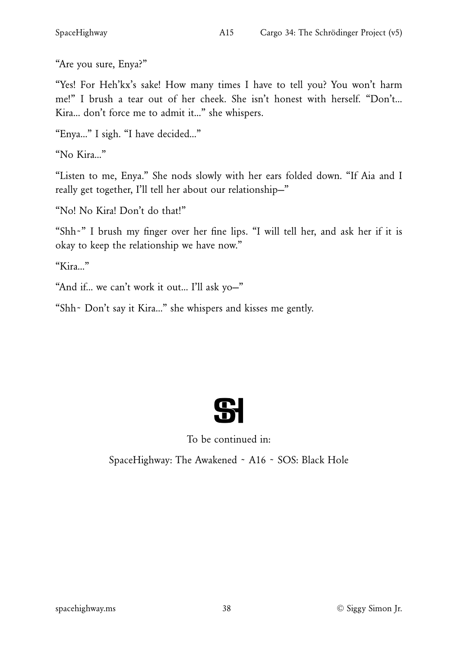"Are you sure, Enya?"

"Yes! For Heh'kx's sake! How many times I have to tell you? You won't harm me!" I brush a tear out of her cheek. She isn't honest with herself. "Don't… Kira… don't force me to admit it…" she whispers.

"Enya…" I sigh. "I have decided…"

"No Kira…"

"Listen to me, Enya." She nods slowly with her ears folded down. "If Aia and I really get together, I'll tell her about our relationship—"

"No! No Kira! Don't do that!"

"Shh~" I brush my finger over her fine lips. "I will tell her, and ask her if it is okay to keep the relationship we have now."

"Kira…"

"And if… we can't work it out… I'll ask yo—"

"Shh~ Don't say it Kira…" she whispers and kisses me gently.



### To be continued in:

SpaceHighway: The Awakened ~ A16 ~ SOS: Black Hole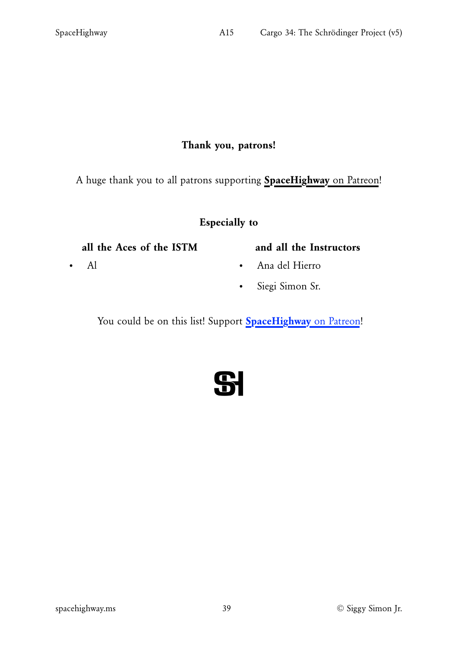#### Thank you, patrons!

A huge thank you to all patrons supporting **[SpaceHighway](https://www.patreon.com/spacehighway)** [on Patreon!](https://www.patreon.com/spacehighway)

#### Especially to

#### all the Aces of the ISTM

• Al

#### and all the Instructors

- Ana del Hierro
- Siegi Simon Sr.

You could be on this list! Support **[SpaceHighway](https://www.patreon.com/spacehighway)** [on Patreon!](https://www.patreon.com/spacehighway)